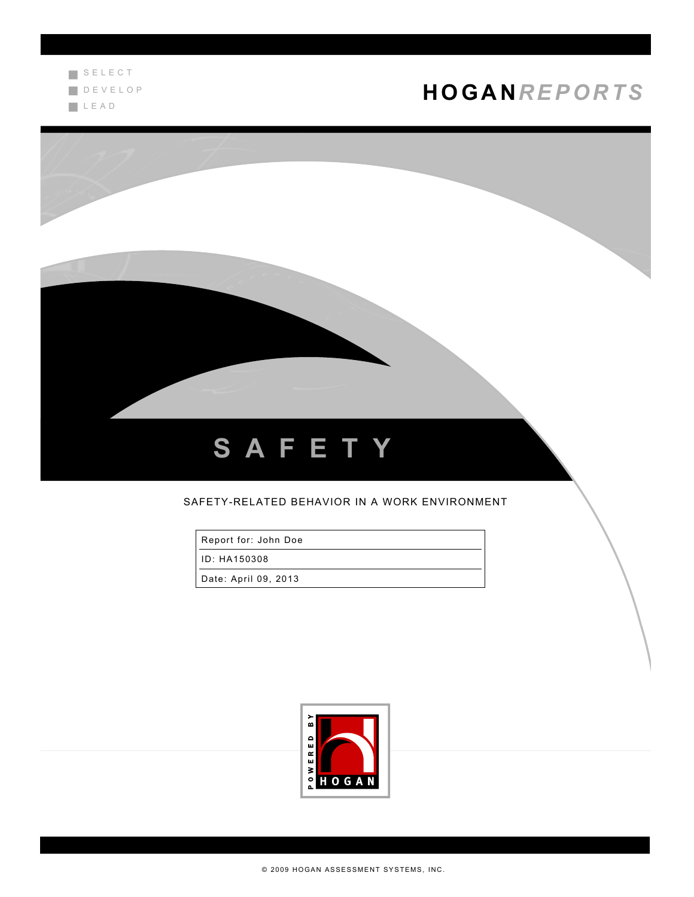

# **HOGA N***R EPOR TS*



### SAFETY-RELATED BEHAVIOR IN A WORK ENVIRONMENT

Report for: John Doe

ID: HA150308

Date: April 09, 2013

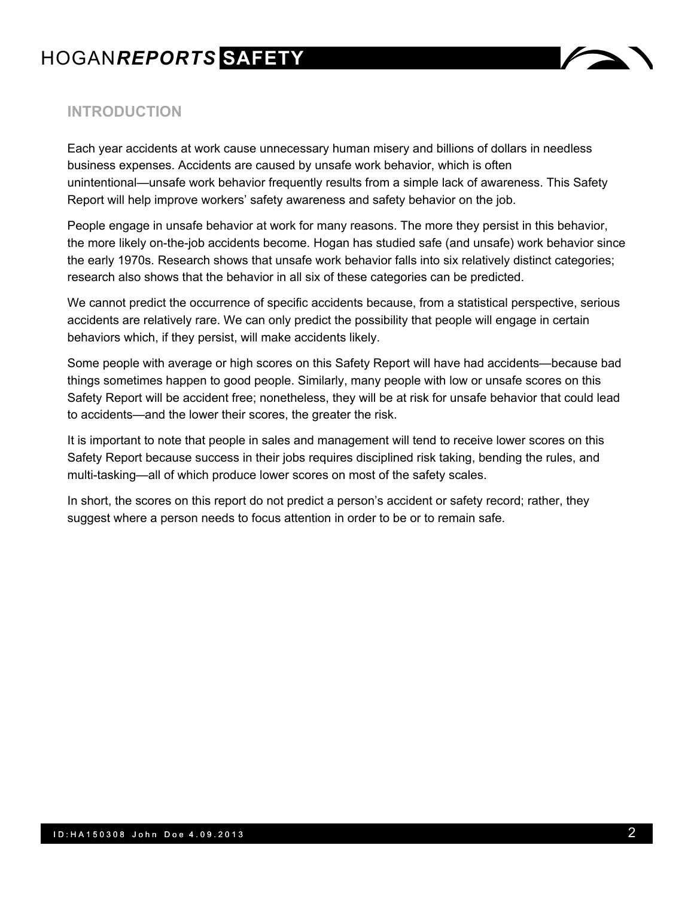# HOGAN*REPORTS* **SAFETY**



## **INTRODUCTION**

Each year accidents at work cause unnecessary human misery and billions of dollars in needless business expenses. Accidents are caused by unsafe work behavior, which is often unintentional—unsafe work behavior frequently results from a simple lack of awareness. This Safety Report will help improve workers' safety awareness and safety behavior on the job.

People engage in unsafe behavior at work for many reasons. The more they persist in this behavior, the more likely on-the-job accidents become. Hogan has studied safe (and unsafe) work behavior since the early 1970s. Research shows that unsafe work behavior falls into six relatively distinct categories; research also shows that the behavior in all six of these categories can be predicted.

We cannot predict the occurrence of specific accidents because, from a statistical perspective, serious accidents are relatively rare. We can only predict the possibility that people will engage in certain behaviors which, if they persist, will make accidents likely.

Some people with average or high scores on this Safety Report will have had accidents—because bad things sometimes happen to good people. Similarly, many people with low or unsafe scores on this Safety Report will be accident free; nonetheless, they will be at risk for unsafe behavior that could lead to accidents—and the lower their scores, the greater the risk.

It is important to note that people in sales and management will tend to receive lower scores on this Safety Report because success in their jobs requires disciplined risk taking, bending the rules, and multi-tasking—all of which produce lower scores on most of the safety scales.

In short, the scores on this report do not predict a person's accident or safety record; rather, they suggest where a person needs to focus attention in order to be or to remain safe.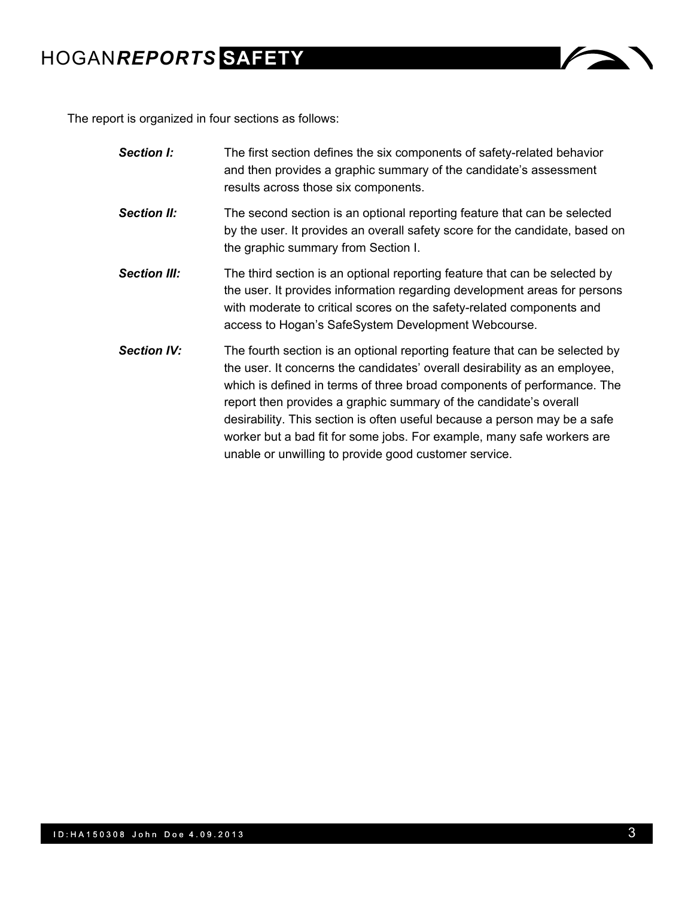# HOGAN*REPORTS* **SAFETY**



The report is organized in four sections as follows:

| <b>Section I:</b>   | The first section defines the six components of safety-related behavior<br>and then provides a graphic summary of the candidate's assessment<br>results across those six components.                                                                                                                                                                                                                                                                                                                                      |
|---------------------|---------------------------------------------------------------------------------------------------------------------------------------------------------------------------------------------------------------------------------------------------------------------------------------------------------------------------------------------------------------------------------------------------------------------------------------------------------------------------------------------------------------------------|
| <b>Section II:</b>  | The second section is an optional reporting feature that can be selected<br>by the user. It provides an overall safety score for the candidate, based on<br>the graphic summary from Section I.                                                                                                                                                                                                                                                                                                                           |
| <b>Section III:</b> | The third section is an optional reporting feature that can be selected by<br>the user. It provides information regarding development areas for persons<br>with moderate to critical scores on the safety-related components and<br>access to Hogan's SafeSystem Development Webcourse.                                                                                                                                                                                                                                   |
| <b>Section IV:</b>  | The fourth section is an optional reporting feature that can be selected by<br>the user. It concerns the candidates' overall desirability as an employee,<br>which is defined in terms of three broad components of performance. The<br>report then provides a graphic summary of the candidate's overall<br>desirability. This section is often useful because a person may be a safe<br>worker but a bad fit for some jobs. For example, many safe workers are<br>unable or unwilling to provide good customer service. |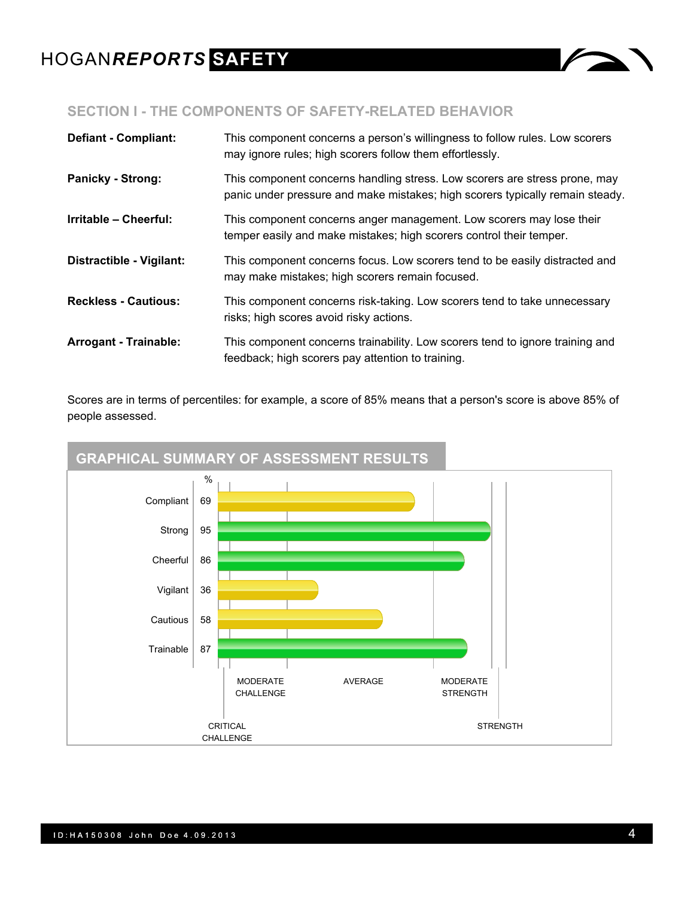

## **SECTION I - THE COMPONENTS OF SAFETY-RELATED BEHAVIOR**

| <b>Defiant - Compliant:</b>  | This component concerns a person's willingness to follow rules. Low scorers<br>may ignore rules; high scorers follow them effortlessly.                     |
|------------------------------|-------------------------------------------------------------------------------------------------------------------------------------------------------------|
| <b>Panicky - Strong:</b>     | This component concerns handling stress. Low scorers are stress prone, may<br>panic under pressure and make mistakes; high scorers typically remain steady. |
| Irritable - Cheerful:        | This component concerns anger management. Low scorers may lose their<br>temper easily and make mistakes; high scorers control their temper.                 |
| Distractible - Vigilant:     | This component concerns focus. Low scorers tend to be easily distracted and<br>may make mistakes; high scorers remain focused.                              |
| <b>Reckless - Cautious:</b>  | This component concerns risk-taking. Low scorers tend to take unnecessary<br>risks; high scores avoid risky actions.                                        |
| <b>Arrogant - Trainable:</b> | This component concerns trainability. Low scorers tend to ignore training and<br>feedback; high scorers pay attention to training.                          |

Scores are in terms of percentiles: for example, a score of 85% means that a person's score is above 85% of people assessed.